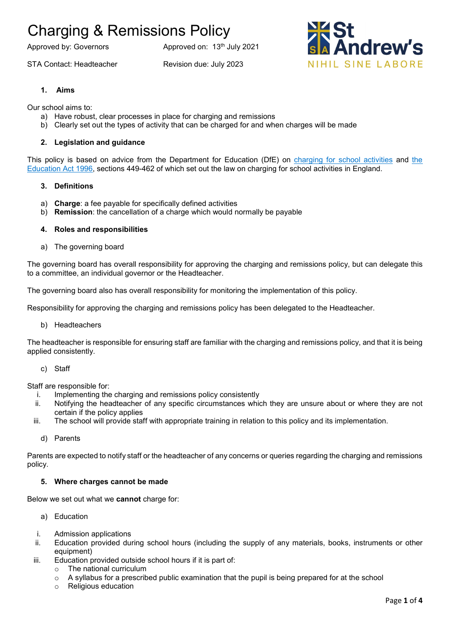STA Contact: Headteacher Revision due: July 2023

Approved by: Governors Approved on: 13<sup>th</sup> July 2021



## **1. Aims**

Our school aims to:

- a) Have robust, clear processes in place for charging and remissions
- b) Clearly set out the types of activity that can be charged for and when charges will be made

### **2. Legislation and guidance**

This policy is based on advice from the Department for Education (DfE) on [charging for school activities](https://www.gov.uk/government/publications/charging-for-school-activities) and the [Education Act 1996,](http://www.legislation.gov.uk/ukpga/1996/56/part/VI/chapter/III) sections 449-462 of which set out the law on charging for school activities in England.

### **3. Definitions**

- a) **Charge**: a fee payable for specifically defined activities
- b) **Remission**: the cancellation of a charge which would normally be payable

### **4. Roles and responsibilities**

a) The governing board

The governing board has overall responsibility for approving the charging and remissions policy, but can delegate this to a committee, an individual governor or the Headteacher.

The governing board also has overall responsibility for monitoring the implementation of this policy.

Responsibility for approving the charging and remissions policy has been delegated to the Headteacher.

b) Headteachers

The headteacher is responsible for ensuring staff are familiar with the charging and remissions policy, and that it is being applied consistently.

c) Staff

Staff are responsible for:

- i. Implementing the charging and remissions policy consistently
- ii. Notifying the headteacher of any specific circumstances which they are unsure about or where they are not certain if the policy applies
- iii. The school will provide staff with appropriate training in relation to this policy and its implementation.
	- d) Parents

Parents are expected to notify staff or the headteacher of any concerns or queries regarding the charging and remissions policy.

#### **5. Where charges cannot be made**

Below we set out what we **cannot** charge for:

- a) Education
- i. Admission applications
- ii. Education provided during school hours (including the supply of any materials, books, instruments or other equipment)
- iii. Education provided outside school hours if it is part of:
	- o The national curriculum
	- $\circ$  A syllabus for a prescribed public examination that the pupil is being prepared for at the school
	- o Religious education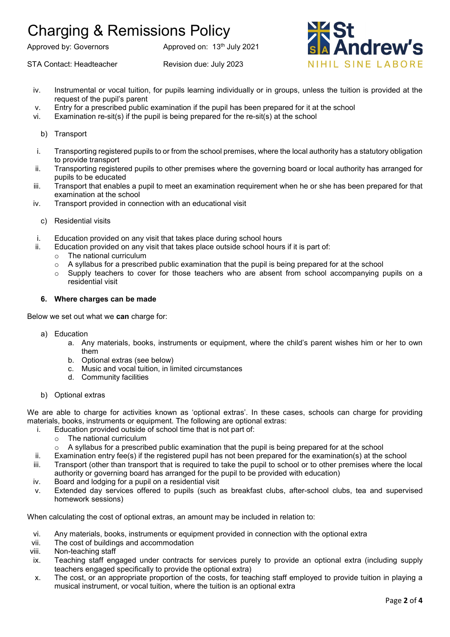Approved by: Governors Approved on: 13<sup>th</sup> July 2021

STA Contact: Headteacher Revision due: July 2023



- iv. Instrumental or vocal tuition, for pupils learning individually or in groups, unless the tuition is provided at the request of the pupil's parent
- v. Entry for a prescribed public examination if the pupil has been prepared for it at the school
- vi. Examination re-sit(s) if the pupil is being prepared for the re-sit(s) at the school
	- b) Transport
- i. Transporting registered pupils to or from the school premises, where the local authority has a statutory obligation to provide transport
- ii. Transporting registered pupils to other premises where the governing board or local authority has arranged for pupils to be educated
- iii. Transport that enables a pupil to meet an examination requirement when he or she has been prepared for that examination at the school
- iv. Transport provided in connection with an educational visit
	- c) Residential visits
- i. Education provided on any visit that takes place during school hours
- ii. Education provided on any visit that takes place outside school hours if it is part of:
	- o The national curriculum
	- $\circ$  A syllabus for a prescribed public examination that the pupil is being prepared for at the school
	- o Supply teachers to cover for those teachers who are absent from school accompanying pupils on a residential visit

## **6. Where charges can be made**

Below we set out what we **can** charge for:

- a) Education
	- a. Any materials, books, instruments or equipment, where the child's parent wishes him or her to own them
	- b. Optional extras (see below)
	- c. Music and vocal tuition, in limited circumstances
	- d. Community facilities
- b) Optional extras

We are able to charge for activities known as 'optional extras'. In these cases, schools can charge for providing materials, books, instruments or equipment. The following are optional extras:

- i. Education provided outside of school time that is not part of:
	- o The national curriculum
	- $\circ$  A syllabus for a prescribed public examination that the pupil is being prepared for at the school
- ii. Examination entry fee(s) if the registered pupil has not been prepared for the examination(s) at the school
- iii. Transport (other than transport that is required to take the pupil to school or to other premises where the local authority or governing board has arranged for the pupil to be provided with education)
- iv. Board and lodging for a pupil on a residential visit
- v. Extended day services offered to pupils (such as breakfast clubs, after-school clubs, tea and supervised homework sessions)

When calculating the cost of optional extras, an amount may be included in relation to:

- vi. Any materials, books, instruments or equipment provided in connection with the optional extra
- vii. The cost of buildings and accommodation
- viii. Non-teaching staff
- ix. Teaching staff engaged under contracts for services purely to provide an optional extra (including supply teachers engaged specifically to provide the optional extra)
- x. The cost, or an appropriate proportion of the costs, for teaching staff employed to provide tuition in playing a musical instrument, or vocal tuition, where the tuition is an optional extra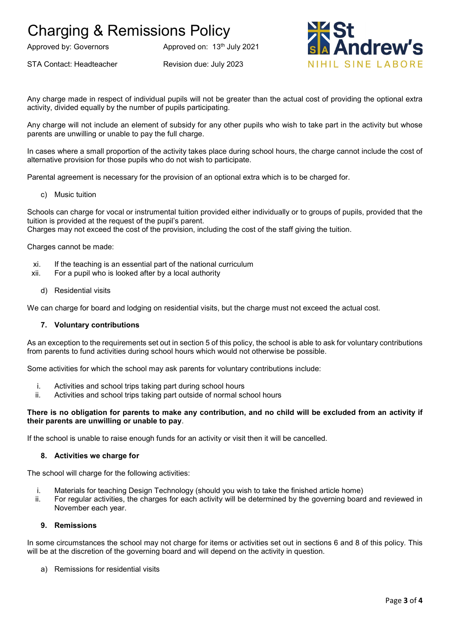Approved by: Governors Approved on: 13<sup>th</sup> July 2021

STA Contact: Headteacher Revision due: July 2023



Any charge made in respect of individual pupils will not be greater than the actual cost of providing the optional extra activity, divided equally by the number of pupils participating.

Any charge will not include an element of subsidy for any other pupils who wish to take part in the activity but whose parents are unwilling or unable to pay the full charge.

In cases where a small proportion of the activity takes place during school hours, the charge cannot include the cost of alternative provision for those pupils who do not wish to participate.

Parental agreement is necessary for the provision of an optional extra which is to be charged for.

c) Music tuition

Schools can charge for vocal or instrumental tuition provided either individually or to groups of pupils, provided that the tuition is provided at the request of the pupil's parent.

Charges may not exceed the cost of the provision, including the cost of the staff giving the tuition.

Charges cannot be made:

- xi. If the teaching is an essential part of the national curriculum
- xii. For a pupil who is looked after by a local authority
	- d) Residential visits

We can charge for board and lodging on residential visits, but the charge must not exceed the actual cost.

#### **7. Voluntary contributions**

As an exception to the requirements set out in section 5 of this policy, the school is able to ask for voluntary contributions from parents to fund activities during school hours which would not otherwise be possible.

Some activities for which the school may ask parents for voluntary contributions include:

- i. Activities and school trips taking part during school hours
- ii. Activities and school trips taking part outside of normal school hours

#### **There is no obligation for parents to make any contribution, and no child will be excluded from an activity if their parents are unwilling or unable to pay**.

If the school is unable to raise enough funds for an activity or visit then it will be cancelled.

## **8. Activities we charge for**

The school will charge for the following activities:

- i. Materials for teaching Design Technology (should you wish to take the finished article home)
- ii. For regular activities, the charges for each activity will be determined by the governing board and reviewed in November each year.

## **9. Remissions**

In some circumstances the school may not charge for items or activities set out in sections 6 and 8 of this policy. This will be at the discretion of the governing board and will depend on the activity in question.

a) Remissions for residential visits